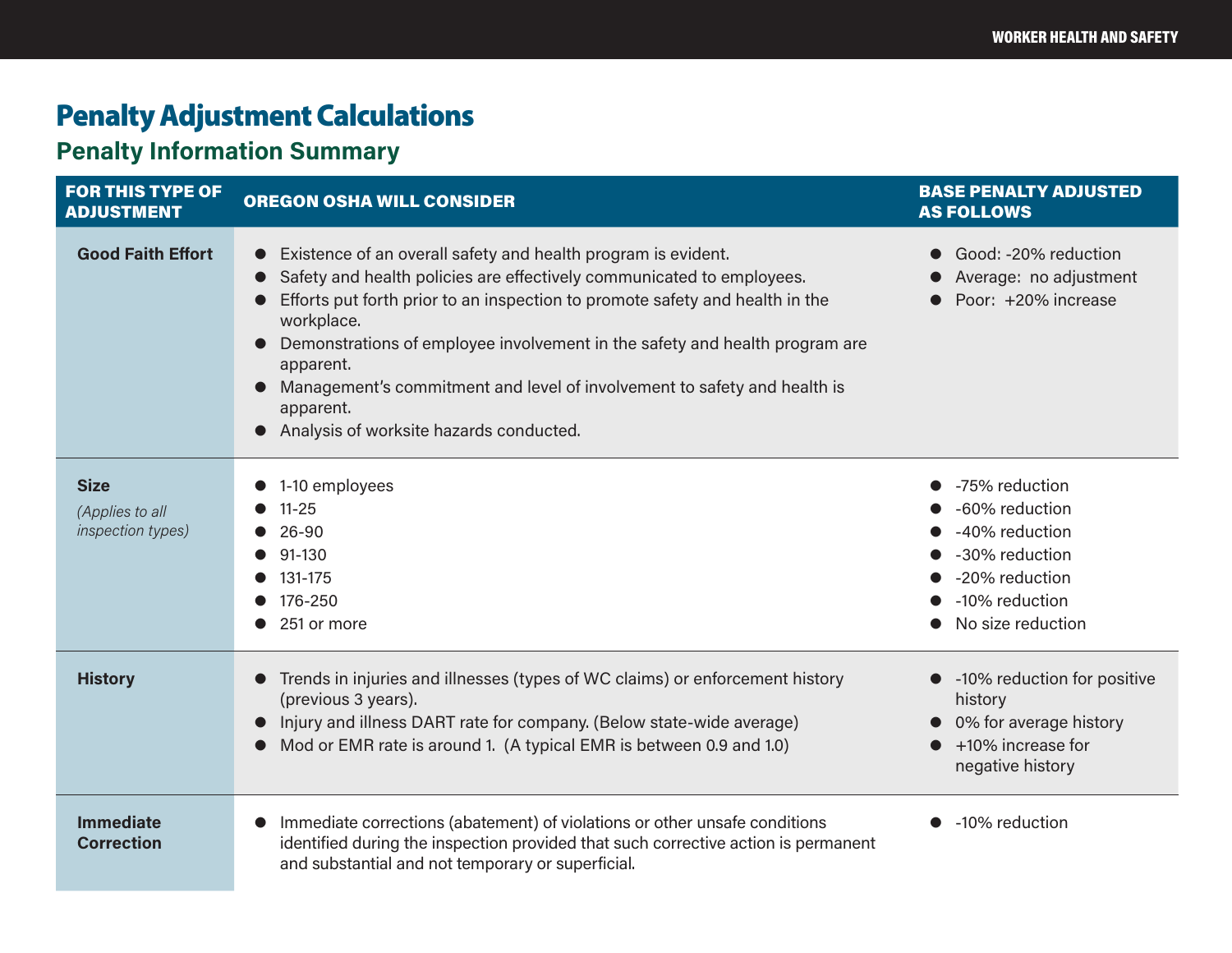## Penalty Adjustment Calculations

## **Penalty Information Summary**

| <b>FOR THIS TYPE OF</b><br><b>ADJUSTMENT</b>               | <b>OREGON OSHA WILL CONSIDER</b>                                                                                                                                                                                                                                                                                                                                                                                                                                                               | <b>BASE PENALTY ADJUSTED</b><br><b>AS FOLLOWS</b>                                                                               |
|------------------------------------------------------------|------------------------------------------------------------------------------------------------------------------------------------------------------------------------------------------------------------------------------------------------------------------------------------------------------------------------------------------------------------------------------------------------------------------------------------------------------------------------------------------------|---------------------------------------------------------------------------------------------------------------------------------|
| <b>Good Faith Effort</b>                                   | Existence of an overall safety and health program is evident.<br>$\bullet$<br>Safety and health policies are effectively communicated to employees.<br>$\bullet$<br>Efforts put forth prior to an inspection to promote safety and health in the<br>workplace.<br>Demonstrations of employee involvement in the safety and health program are<br>apparent.<br>Management's commitment and level of involvement to safety and health is<br>apparent.<br>Analysis of worksite hazards conducted. | Good: -20% reduction<br>Average: no adjustment<br>Poor: +20% increase                                                           |
| <b>Size</b><br>(Applies to all<br><i>inspection types)</i> | 1-10 employees<br>$11 - 25$<br>$26 - 90$<br>91-130<br>131-175<br>176-250<br>251 or more                                                                                                                                                                                                                                                                                                                                                                                                        | -75% reduction<br>-60% reduction<br>-40% reduction<br>-30% reduction<br>-20% reduction<br>• -10% reduction<br>No size reduction |
| <b>History</b>                                             | Trends in injuries and illnesses (types of WC claims) or enforcement history<br>(previous 3 years).<br>Injury and illness DART rate for company. (Below state-wide average)<br>Mod or EMR rate is around 1. (A typical EMR is between 0.9 and 1.0)                                                                                                                                                                                                                                             | -10% reduction for positive<br>history<br>• 0% for average history<br>+10% increase for<br>negative history                     |
| <b>Immediate</b><br><b>Correction</b>                      | Immediate corrections (abatement) of violations or other unsafe conditions<br>identified during the inspection provided that such corrective action is permanent<br>and substantial and not temporary or superficial.                                                                                                                                                                                                                                                                          | -10% reduction                                                                                                                  |